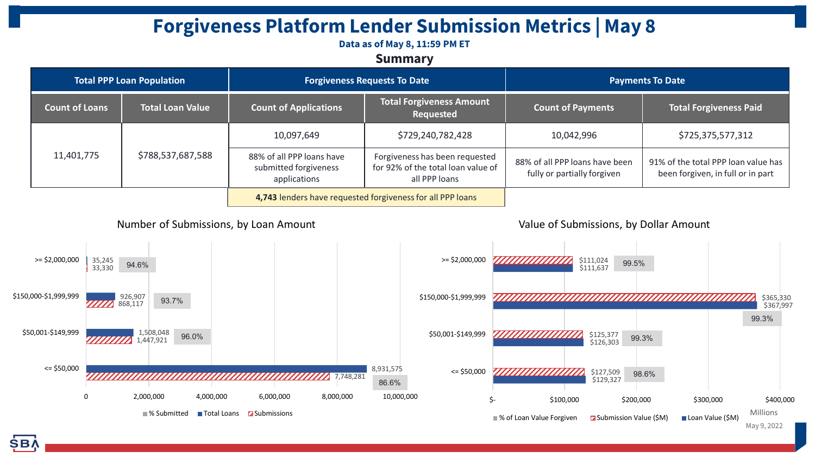# **Forgiveness Platform Lender Submission Metrics | May 8**

#### **Data as of May 8, 11:59 PM ET**

### **Summary**

| <b>Total PPP Loan Population</b> |                         | <b>Forgiveness Requests To Date</b>                                |                                                                                       | <b>Payments To Date</b>                                       |                                                                          |
|----------------------------------|-------------------------|--------------------------------------------------------------------|---------------------------------------------------------------------------------------|---------------------------------------------------------------|--------------------------------------------------------------------------|
| <b>Count of Loans</b>            | <b>Total Loan Value</b> | <b>Count of Applications</b>                                       | <b>Total Forgiveness Amount</b><br>Requested                                          | <b>Count of Payments</b>                                      | <b>Total Forgiveness Paid</b>                                            |
| 11,401,775                       | \$788,537,687,588       | 10,097,649                                                         | \$729,240,782,428                                                                     | 10,042,996                                                    | \$725,375,577,312                                                        |
|                                  |                         | 88% of all PPP loans have<br>submitted forgiveness<br>applications | Forgiveness has been requested<br>for 92% of the total loan value of<br>all PPP loans | 88% of all PPP loans have been<br>fully or partially forgiven | 91% of the total PPP loan value has<br>been forgiven, in full or in part |
|                                  |                         | 4,743 lenders have requested forgiveness for all PPP loans         |                                                                                       |                                                               |                                                                          |

### Number of Submissions, by Loan Amount

#### Value of Submissions, by Dollar Amount



SB/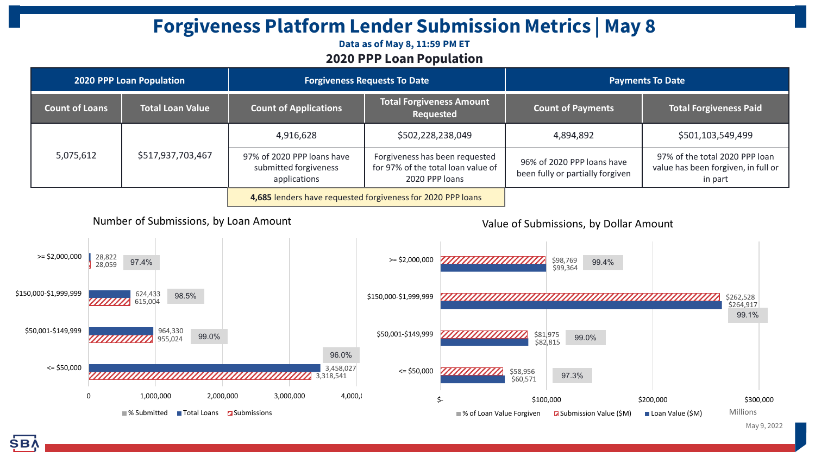# **Forgiveness Platform Lender Submission Metrics | May 8**

### **Data as of May 8, 11:59 PM ET 2020 PPP Loan Population**

| <b>2020 PPP Loan Population</b> |                         | <b>Forgiveness Requests To Date</b>                                 |                                                                                        | <b>Payments To Date</b>                                        |                                                                                  |
|---------------------------------|-------------------------|---------------------------------------------------------------------|----------------------------------------------------------------------------------------|----------------------------------------------------------------|----------------------------------------------------------------------------------|
| <b>Count of Loans</b>           | <b>Total Loan Value</b> | <b>Count of Applications</b>                                        | <b>Total Forgiveness Amount</b><br>Requested                                           | <b>Count of Payments</b>                                       | <b>Total Forgiveness Paid</b>                                                    |
| 5,075,612                       | \$517,937,703,467       | 4,916,628                                                           | \$502,228,238,049                                                                      | 4,894,892                                                      | \$501,103,549,499                                                                |
|                                 |                         | 97% of 2020 PPP loans have<br>submitted forgiveness<br>applications | Forgiveness has been requested<br>for 97% of the total loan value of<br>2020 PPP loans | 96% of 2020 PPP loans have<br>been fully or partially forgiven | 97% of the total 2020 PPP loan<br>value has been forgiven, in full or<br>in part |
|                                 |                         | 4,685 lenders have requested forgiveness for 2020 PPP loans         |                                                                                        |                                                                |                                                                                  |

Number of Submissions, by Loan Amount

Value of Submissions, by Dollar Amount



May 9, 2022